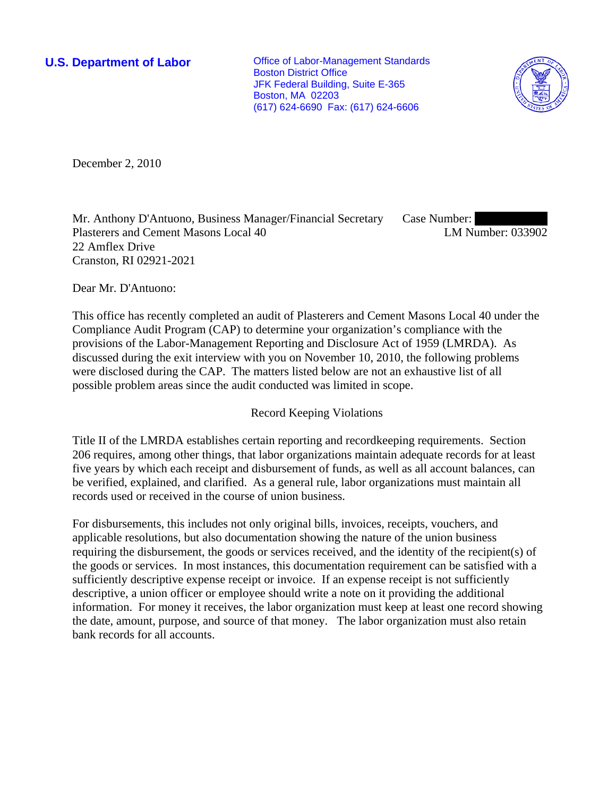**U.S. Department of Labor Conservative Conservative Conservative Conservative Conservative Conservative Conservative Conservative Conservative Conservative Conservative Conservative Conservative Conservative Conservative** Boston District Office JFK Federal Building, Suite E-365 Boston, MA 02203 (617) 624-6690 Fax: (617) 624-6606



December 2, 2010

Mr. Anthony D'Antuono, Business Manager/Financial Secretary Plasterers and Cement Masons Local 40 22 Amflex Drive Cranston, RI 02921-2021 Case Number: LM Number: 033902

Dear Mr. D'Antuono:

This office has recently completed an audit of Plasterers and Cement Masons Local 40 under the Compliance Audit Program (CAP) to determine your organization's compliance with the provisions of the Labor-Management Reporting and Disclosure Act of 1959 (LMRDA). As discussed during the exit interview with you on November 10, 2010, the following problems were disclosed during the CAP. The matters listed below are not an exhaustive list of all possible problem areas since the audit conducted was limited in scope.

Record Keeping Violations

Title II of the LMRDA establishes certain reporting and recordkeeping requirements. Section 206 requires, among other things, that labor organizations maintain adequate records for at least five years by which each receipt and disbursement of funds, as well as all account balances, can be verified, explained, and clarified. As a general rule, labor organizations must maintain all records used or received in the course of union business.

For disbursements, this includes not only original bills, invoices, receipts, vouchers, and applicable resolutions, but also documentation showing the nature of the union business requiring the disbursement, the goods or services received, and the identity of the recipient(s) of the goods or services. In most instances, this documentation requirement can be satisfied with a sufficiently descriptive expense receipt or invoice. If an expense receipt is not sufficiently descriptive, a union officer or employee should write a note on it providing the additional information. For money it receives, the labor organization must keep at least one record showing the date, amount, purpose, and source of that money. The labor organization must also retain bank records for all accounts.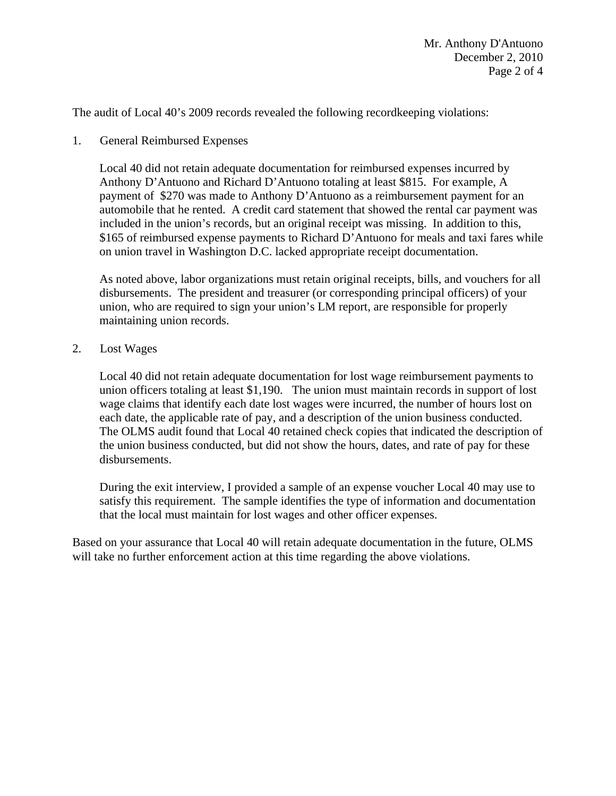The audit of Local 40's 2009 records revealed the following recordkeeping violations:

1. General Reimbursed Expenses

Local 40 did not retain adequate documentation for reimbursed expenses incurred by Anthony D'Antuono and Richard D'Antuono totaling at least \$815. For example, A payment of \$270 was made to Anthony D'Antuono as a reimbursement payment for an automobile that he rented. A credit card statement that showed the rental car payment was included in the union's records, but an original receipt was missing. In addition to this, \$165 of reimbursed expense payments to Richard D'Antuono for meals and taxi fares while on union travel in Washington D.C. lacked appropriate receipt documentation.

As noted above, labor organizations must retain original receipts, bills, and vouchers for all disbursements. The president and treasurer (or corresponding principal officers) of your union, who are required to sign your union's LM report, are responsible for properly maintaining union records.

2. Lost Wages

Local 40 did not retain adequate documentation for lost wage reimbursement payments to union officers totaling at least \$1,190. The union must maintain records in support of lost wage claims that identify each date lost wages were incurred, the number of hours lost on each date, the applicable rate of pay, and a description of the union business conducted. The OLMS audit found that Local 40 retained check copies that indicated the description of the union business conducted, but did not show the hours, dates, and rate of pay for these disbursements.

During the exit interview, I provided a sample of an expense voucher Local 40 may use to satisfy this requirement. The sample identifies the type of information and documentation that the local must maintain for lost wages and other officer expenses.

Based on your assurance that Local 40 will retain adequate documentation in the future, OLMS will take no further enforcement action at this time regarding the above violations.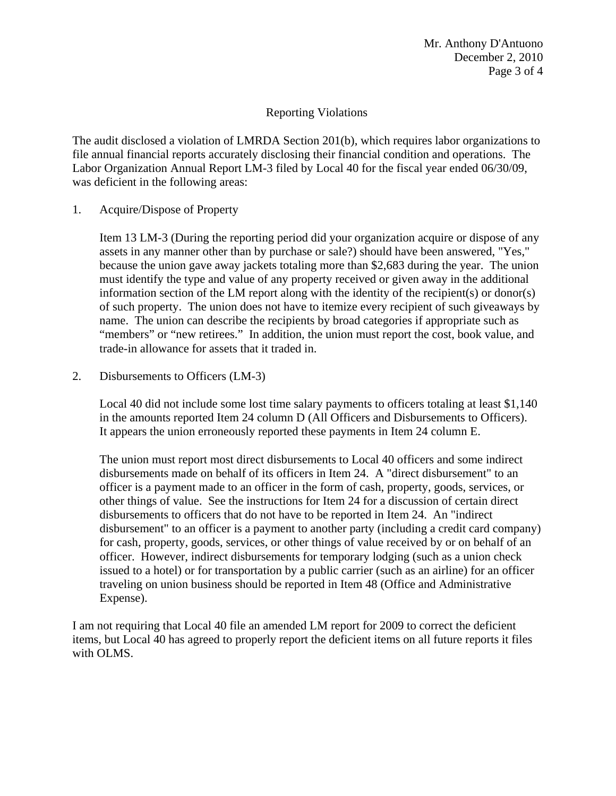## Reporting Violations

The audit disclosed a violation of LMRDA Section 201(b), which requires labor organizations to file annual financial reports accurately disclosing their financial condition and operations. The Labor Organization Annual Report LM-3 filed by Local 40 for the fiscal year ended 06/30/09, was deficient in the following areas:

1. Acquire/Dispose of Property

Item 13 LM-3 (During the reporting period did your organization acquire or dispose of any assets in any manner other than by purchase or sale?) should have been answered, "Yes," because the union gave away jackets totaling more than \$2,683 during the year. The union must identify the type and value of any property received or given away in the additional information section of the LM report along with the identity of the recipient(s) or donor(s) of such property. The union does not have to itemize every recipient of such giveaways by name. The union can describe the recipients by broad categories if appropriate such as "members" or "new retirees." In addition, the union must report the cost, book value, and trade-in allowance for assets that it traded in.

2. Disbursements to Officers (LM-3)

Local 40 did not include some lost time salary payments to officers totaling at least \$1,140 in the amounts reported Item 24 column D (All Officers and Disbursements to Officers). It appears the union erroneously reported these payments in Item 24 column E.

The union must report most direct disbursements to Local 40 officers and some indirect disbursements made on behalf of its officers in Item 24. A "direct disbursement" to an officer is a payment made to an officer in the form of cash, property, goods, services, or other things of value. See the instructions for Item 24 for a discussion of certain direct disbursements to officers that do not have to be reported in Item 24. An "indirect disbursement" to an officer is a payment to another party (including a credit card company) for cash, property, goods, services, or other things of value received by or on behalf of an officer. However, indirect disbursements for temporary lodging (such as a union check issued to a hotel) or for transportation by a public carrier (such as an airline) for an officer traveling on union business should be reported in Item 48 (Office and Administrative Expense).

I am not requiring that Local 40 file an amended LM report for 2009 to correct the deficient items, but Local 40 has agreed to properly report the deficient items on all future reports it files with OLMS.